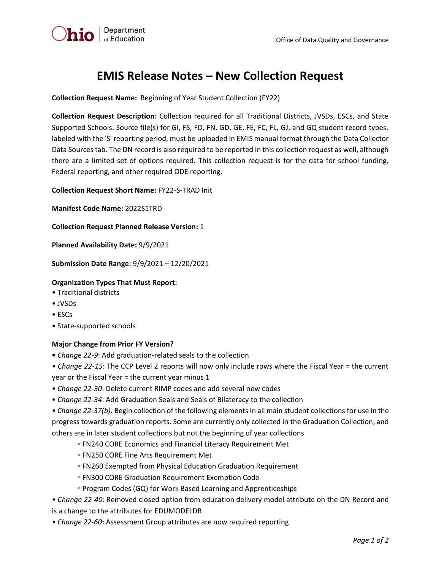

# **EMIS Release Notes – New Collection Request**

**Collection Request Name:** Beginning of Year Student Collection (FY22)

**Collection Request Description:** Collection required for all Traditional Districts, JVSDs, ESCs, and State Supported Schools. Source file(s) for GI, FS, FD, FN, GD, GE, FE, FC, FL, GJ, and GQ student record types, labeled with the 'S' reporting period, must be uploaded in EMIS manual format through the Data Collector Data Sources tab. The DN record is also required to be reported in this collection request as well, although there are a limited set of options required. This collection request is for the data for school funding, Federal reporting, and other required ODE reporting.

**Collection Request Short Name:** FY22-S-TRAD Init

**Manifest Code Name:** 2022S1TRD

**Collection Request Planned Release Version:** 1

**Planned Availability Date:** 9/9/2021

**Submission Date Range:** 9/9/2021 – 12/20/2021

## **Organization Types That Must Report:**

- Traditional districts
- JVSDs
- ESCs
- State-supported schools

#### **Major Change from Prior FY Version?**

- *Change 22-9*: Add graduation-related seals to the collection
- *Change 22-15*: The CCP Level 2 reports will now only include rows where the Fiscal Year = the current year or the Fiscal Year = the current year minus 1
- *Change 22-30*: Delete current RIMP codes and add several new codes
- *Change 22-34*: Add Graduation Seals and Seals of Bilateracy to the collection

*• Change 22-37(b):* Begin collection of the following elements in all main student collections for use in the progress towards graduation reports. Some are currently only collected in the Graduation Collection, and others are in later student collections but not the beginning of year collections

- FN240 CORE Economics and Financial Literacy Requirement Met
- FN250 CORE Fine Arts Requirement Met
- FN260 Exempted from Physical Education Graduation Requirement
- FN300 CORE Graduation Requirement Exemption Code
- Program Codes (GQ) for Work Based Learning and Apprenticeships
- *Change 22-40*: Removed closed option from education delivery model attribute on the DN Record and is a change to the attributes for EDUMODELDB
- *Change 22-60***:** Assessment Group attributes are now required reporting